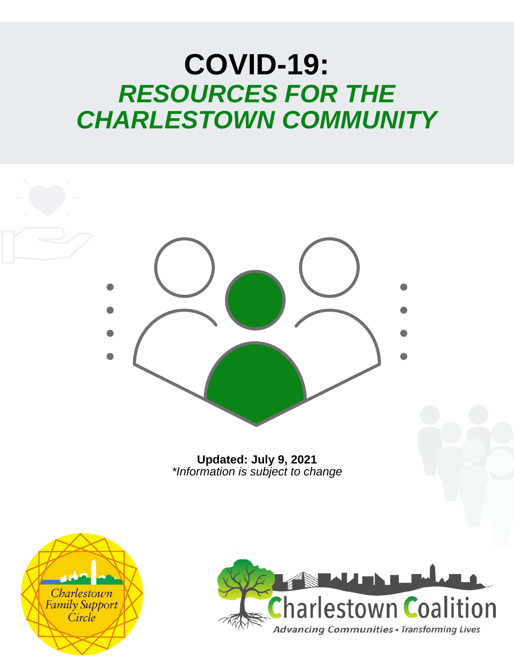# **COVID-19:** *RESOURCES FOR THE CHARLESTOWN COMMUNITY*



**Updated: July 9, 2021** *\*Information is subject to change*



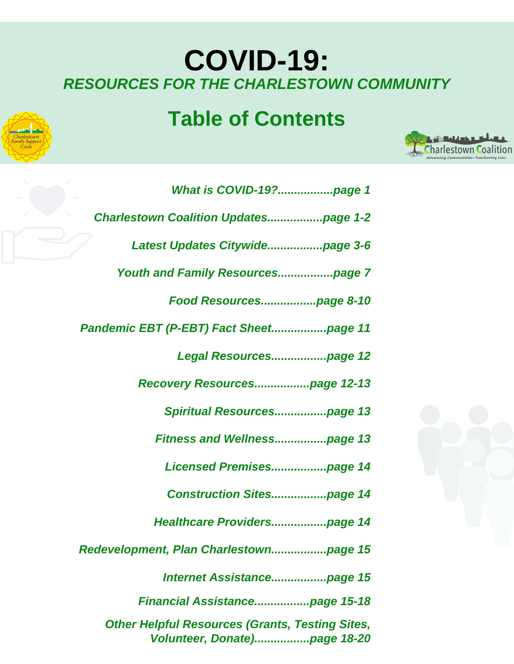## **COVID-19:** *RESOURCES FOR THE CHARLESTOWN COMMUNITY*

## **Table of Contents**



| What is COVID-19?page 1                      |
|----------------------------------------------|
| <b>Charlestown Coalition Updatespage 1-2</b> |
|                                              |
|                                              |
|                                              |
| Pandemic EBT (P-EBT) Fact Sheetpage 11       |
| Legal Resourcespage 12                       |
| Recovery Resourcespage 12-13                 |
| Spiritual Resourcespage 13                   |
| <b>Fitness and Wellnesspage 13</b>           |
| Licensed Premisespage 14                     |
| <b>Construction Sitespage 14</b>             |
| Healthcare Providerspage 14                  |
|                                              |
|                                              |
| Financial Assistancepage 15-18               |

*Other Helpful Resources (Grants, Testing Sites, Volunteer, Donate).................page 18-20*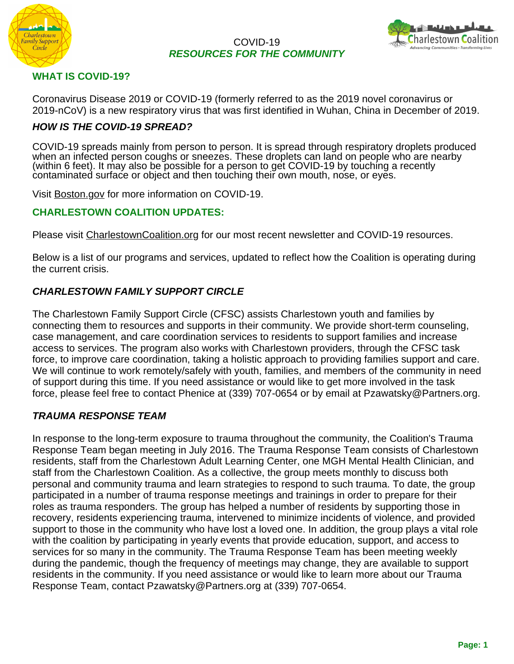

#### COVID-19 *RESOURCES FOR THE COMMUNITY*



#### **WHAT IS COVID-19?**

Coronavirus Disease 2019 or COVID-19 (formerly referred to as the 2019 novel coronavirus or 2019-nCoV) is a new respiratory virus that was first identified in Wuhan, China in December of 2019.

## *HOW IS THE COVID-19 SPREAD?*

COVID-19 spreads mainly from person to person. It is spread through respiratory droplets produced when an infected person coughs or sneezes. These droplets can land on people who are nearby (within 6 feet). It may also be possible for a person to get COVID-19 by touching a recently contaminated surface or object and then touching their own mouth, nose, or eyes.

Visit [Boston.gov](https://www.boston.gov/departments/public-health-commission/coronavirus-common-questions) for more information on COVID-19.

#### **CHARLESTOWN COALITION UPDATES:**

Please visit [CharlestownCoalition.org](http://charlestowncoalition.org/news-and-events/) for our most recent newsletter and COVID-19 resources.

Below is a list of our programs and services, updated to reflect how the Coalition is operating during the current crisis.

## *CHARLESTOWN FAMILY SUPPORT CIRCLE*

The Charlestown Family Support Circle (CFSC) assists Charlestown youth and families by connecting them to resources and supports in their community. We provide short-term counseling, case management, and care coordination services to residents to support families and increase access to services. The program also works with Charlestown providers, through the CFSC task force, to improve care coordination, taking a holistic approach to providing families support and care. We will continue to work remotely/safely with youth, families, and members of the community in need of support during this time. If you need assistance or would like to get more involved in the task force, please feel free to contact Phenice at (339) 707-0654 or by email at Pzawatsky@Partners.org.

#### *TRAUMA RESPONSE TEAM*

In response to the long-term exposure to trauma throughout the community, the Coalition's Trauma Response Team began meeting in July 2016. The Trauma Response Team consists of Charlestown residents, staff from the Charlestown Adult Learning Center, one MGH Mental Health Clinician, and staff from the Charlestown Coalition. As a collective, the group meets monthly to discuss both personal and community trauma and learn strategies to respond to such trauma. To date, the group participated in a number of trauma response meetings and trainings in order to prepare for their roles as trauma responders. The group has helped a number of residents by supporting those in recovery, residents experiencing trauma, intervened to minimize incidents of violence, and provided support to those in the community who have lost a loved one. In addition, the group plays a vital role with the coalition by participating in yearly events that provide education, support, and access to services for so many in the community. The Trauma Response Team has been meeting weekly during the pandemic, though the frequency of meetings may change, they are available to support residents in the community. If you need assistance or would like to learn more about our Trauma Response Team, contact Pzawatsky@Partners.org at (339) 707-0654.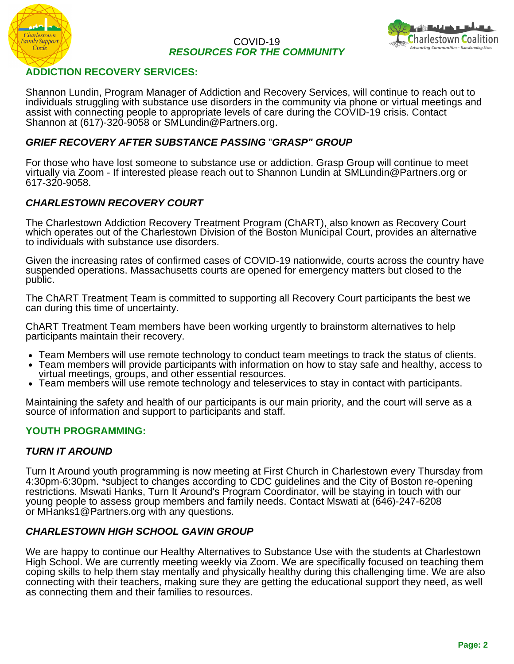

#### COVID-19 *RESOURCES FOR THE COMMUNITY*



#### **ADDICTION RECOVERY SERVICES:**

Shannon Lundin, Program Manager of Addiction and Recovery Services, will continue to reach out to individuals struggling with substance use disorders in the community via phone or virtual meetings and assist with connecting people to appropriate levels of care during the COVID-19 crisis. Contact Shannon at (617)-320-9058 or SMLundin@Partners.org.

#### *[GRIEF RECOVERY AFTER SUBSTANCE PASSING](http://grasphelp.org/about-us/)* "*GRASP" GROUP*

For those who have lost someone to substance use or addiction. Grasp Group will continue to meet virtually via Zoom - If interested please reach out to Shannon Lundin at SMLundin@Partners.org or 617-320-9058.

#### *CHARLESTOWN RECOVERY COURT*

The Charlestown Addiction Recovery Treatment Program (ChART), also known as Recovery Court which operates out of the Charlestown Division of the Boston Municipal Court, provides an alternative to individuals with substance use disorders.

Given the increasing rates of confirmed cases of COVID-19 nationwide, courts across the country have suspended operations. Massachusetts courts are opened for emergency matters but closed to the public.

The ChART Treatment Team is committed to supporting all Recovery Court participants the best we can during this time of uncertainty.

ChART Treatment Team members have been working urgently to brainstorm alternatives to help participants maintain their recovery.

- Team Members will use remote technology to conduct team meetings to track the status of clients.
- Team members will provide participants with information on how to stay safe and healthy, access to virtual meetings, groups, and other essential resources.
- Team members will use remote technology and teleservices to stay in contact with participants.

Maintaining the safety and health of our participants is our main priority, and the court will serve as a source of information and support to participants and staff.

#### **YOUTH PROGRAMMING:**

#### *TURN IT AROUND*

Turn It Around youth programming is now meeting at First Church in Charlestown every Thursday from 4:30pm-6:30pm. \*subject to changes according to CDC guidelines and the City of Boston re-opening restrictions. Mswati Hanks, Turn It Around's Program Coordinator, will be staying in touch with our young people to assess group members and family needs. Contact Mswati at (646)-247-6208 or MHanks1@Partners.org with any questions.

#### *CHARLESTOWN HIGH SCHOOL GAVIN GROUP*

We are happy to continue our Healthy Alternatives to Substance Use with the students at Charlestown High School. We are currently meeting weekly via Zoom. We are specifically focused on teaching them coping skills to help them stay mentally and physically healthy during this challenging time. We are also connecting with their teachers, making sure they are getting the educational support they need, as well as connecting them and their families to resources.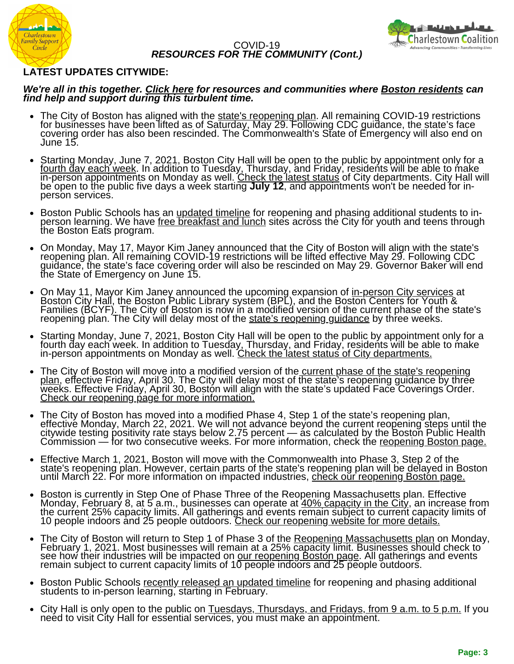



#### **LATEST UPDATES CITYWIDE:**

#### *We're all in this together. [Click here](https://www.boston.gov/health-and-human-services/covid-19-help-residents) for resources and communities where [Boston residents](https://www.boston.gov/news/coronavirus-disease-covid-19-boston) can find help and support during this turbulent time.*

- The City of Boston has aligned with the [state's reopening plan](https://www.mass.gov/news/governor-baker-issues-order-rescinding-covid-19-restrictions-on-may-29-and-terminating-state-of-emergency-effective-june-15). All remaining COVID-19 restrictions for businesses have been lifted as of Saturday, May 29. Following CDC guidance, the state's face covering order has also been rescinded. The Commonwealth's State of Emergency will also end on June 15.
- Starting Monday, June 7, 2021, Boston City Hall will be open to the public by appointment only for a [fourth day each week](https://www.boston.gov/node/15059496). In addition to Tuesday, Thursday, and Friday, residents will be able to make in-person appointments on Monday as well. [Check the latest status of City departments](https://content.boston.gov/node/11564911). City Hall will be open to the public five days a week starting **July 12**, and appointments won't be needed for inperson services.
- Boston Public Schools has an *updated timeline* for reopening and phasing additional students to inperson learning. We have [free breakfast and lunch sites](https://www.boston.gov/node/46386) across the City for youth and teens through the Boston Eats program.
- [On Monday, May 17, Mayor Kim Janey announced that the City of Boston will align with the state's](https://www.mass.gov/news/baker-polito-administration-to-lift-covid-restrictions-may-29-state-to-meet-vaccination-goal-by-beginning-of-june) reopening plan. All remaining COVID-19 restrictions will be lifted effective May 29. Following CDC guidance, the state's face covering order will also be rescinded on May 29. Governor Baker will end the State of Emergency on June 15.
- On May 11, Mayor Kim Janey announced the [upcoming expansion of](https://www.boston.gov/node/15059496) <u>in-person City services</u> at Boston City Hall, the Boston Public Library system (BPL), and the Boston Centers for Youth & [Families \(BCYF\). The City of Boston is now in a modified version of the current phase of the state's](https://www.mass.gov/news/baker-polito-administration-announces-plans-for-continued-reopening) reopening plan. The City will delay most of the <u>[state's reopening guidance](https://www.mass.gov/news/baker-polito-administration-announces-plans-for-continued-reopening)</u> by three weeks.
- Starting Monday, June 7, 2021, Boston City Hall will be open to the public by appointment only for a [fourth day each week](https://www.boston.gov/node/15059496). In addition to Tuesday, Thursday, and Friday, residents will be able to make in-person appointments on Monday as well. <u>[Check the latest status of City departments.](https://content.boston.gov/news/covid-19-status-city-boston-departments)</u>
- The City of Boston will move into a modified version of the current phase of the state's reopening [plan, effective Friday, April 30. The City will delay most of the state's reopening guidance by three](https://www.mass.gov/news/baker-polito-administration-announces-plans-for-continued-reopening) weeks. Effective Friday, April 30, Boston will align with the state's updated Face Coverings Order. [Check our reopening page for more information.](https://www.boston.gov/health-and-human-services/covid-19-reopening-city-boston)
- The City of Boston has moved into a modified Phase 4, Step 1 of the state's reopening plan, effective Monday, March 22, 2021. We will not advance beyond the current reopening steps until the citywide testing positivity rate stays below 2.75 percent — as calculated by the Boston Public Health Commission — for two consecutive weeks. For more information, [check](https://www.boston.gov/node/11580086) the <u>reopening Boston page.</u>
- Effective March 1, 2021, Boston will move with the Commonwealth into Phase 3, Step 2 of the state's reopening plan. However, certain parts of the state's reopening plan will be delayed in Boston until March 22. For more information on impacted industries, <u>check our reopening Boston page.</u>
- Boston is currently in Step One of Phase Three of the Reopening Massachusetts plan. Effective Monday, February 8, at 5 a.m., businesses can operate at <u>[40% capacity in the City,](https://www.boston.gov/news/city-boston-increase-capacity-limit-businesses-starting-monday)</u> an increase from the current 25% capacity limits. All gatherings and events remain subject to current capacity limits of 10 people indoors and 25 people outdoors. <u>[Check our reopening website for more details.](https://www.boston.gov/health-and-human-services/covid-19-reopening-city-boston)</u>
- The City of Boston will return to Step 1 of Phase 3 of the [Reopening Massachusetts plan](https://www.boston.gov/news/mayor-walsh-announces-updates-bostons-reopening-plan) on Monday, February 1, 2021. Most businesses will remain at a 25% capacity limit. Businesses should check to see how their industries will be impacted on <u>our reopening Bostón page</u>. All gatherings and events remain subject to current capacity limits of  $10$  people indoors and  $25$  people outdoors.
- Boston Public Schools [recently released an updated timeline](https://www.bostonpublicschools.org/Page/8298) for reopening and phasing additional students to in-person learning, starting in February.
- City Hall is only open to the public on [Tuesdays, Thursdays, and Fridays, from 9 a.m. to 5 p.m.](https://www.boston.gov/news/covid-19-status-city-boston-departments) If you need to visit City Hall for essential services, you must make an appointment.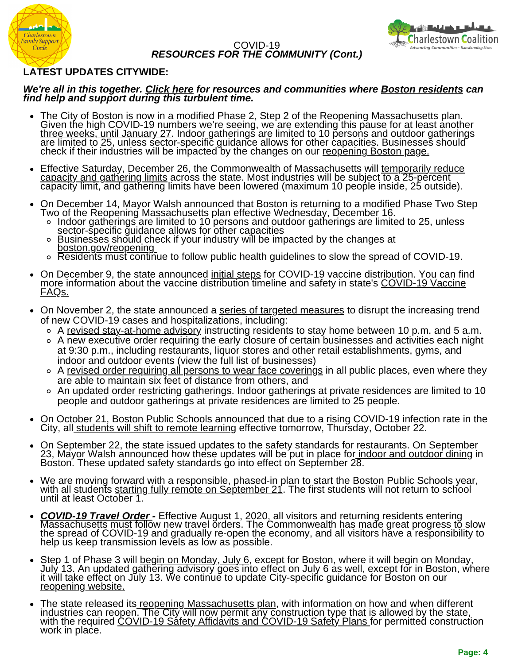



#### **LATEST UPDATES CITYWIDE:**

#### *We're all in this together. [Click here](https://www.boston.gov/health-and-human-services/covid-19-help-residents) for resources and communities where [Boston residents](https://www.boston.gov/news/coronavirus-disease-covid-19-boston) can find help and support during this turbulent time.*

- The City of Boston is now in a modified Phase 2, Step 2 of the Reopening Massachusetts plan. Given the high COVID-19 numbers we're seeing, <u>we are extending this pause for at least another</u> <u>three weeks, until January 27</u>. Indoor gatherings are limited to 10 persons and outdoor gatherings are limited to 25, unless sector-specific guidance allows for other capacities. Businesses should check if their industries will be impacted by the changes on our <u>reopening Boston page.</u>
- [Effective Saturday, December 26, the Commonwealth of Massachusetts will temporarily reduce](https://www.mass.gov/info-details/temporary-capacity-and-gathering-limits) capacity and gathering limits across the state. Most industries will be subject to a 25-percent capacity limit, and gathering limits have been lowered (maximum 10 people inside, 25 outside).
- On December 14, Mayor Walsh announced that Boston is returning to a modified Phase Two Step Two of the Reopening Massachusetts plan effective Wednesday, December 16.
	- Indoor gatherings are limited to 10 persons and outdoor gatherings are limited to 25, unless sector-specific guidance allows for other capacities
	- Businesses should c[he](https://www.boston.gov/health-and-human-services/covid-19-reopening-city-boston)ck if your industry will be impacted by the changes at  $\circ$ [boston.gov/reopening](https://www.boston.gov/health-and-human-services/covid-19-reopening-city-boston)
	- Residents must continue to follow public health guidelines to slow the spread of COVID-19.
- On December 9, the state announced [initial steps](https://www.mass.gov/news/baker-polito-administration-announces-initial-steps-for-covid-19-vaccine-distribution) for COVID-19 vaccine distribution. You can find [more information about the vaccine distribution timeline and safety in state's COVID-19 Vaccine](https://www.mass.gov/info-details/covid-19-vaccine-frequently-asked-questions) FAQs.
- On November 2, the state announced a [series of targeted measures](https://www.mass.gov/news/baker-polito-administration-announces-targeted-measures-to-curb-rising-covid-19-cases) to disrupt the increasing trend of new COVID-19 cases and hospitalizations, including:
	- A [revised stay-at-home advisory](https://www.mass.gov/news/stay-at-home-advisory) instructing residents to stay home between 10 p.m. and 5 a.m.
	- A new executive order requiring the early closure of certain businesses and activities each night at 9:30 p.m., including restaurants, liquor stores and other retail establishments, gyms, and indoor and outdoor events [\(view the full list of businesses\)](https://www.mass.gov/doc/covid-19-order-53/download)
	- <sup>o</sup> A [revised order requiring all persons to wear face coverings](https://www.mass.gov/doc/covid-19-order-53/download) in all public places, even where they are able to maintain six feet of distance from others, and
	- o An [updated order restricting gatherings.](https://www.mass.gov/doc/covid-19-order-54/download) Indoor gatherings at private residences are limited to 10 people and outdoor gatherings at private residences are limited to 25 people.
- On October 21, Boston Public Schools announced that due to a rising COVID-19 infection rate in the City, all [students will shift to remote learning](https://www.boston.gov/news/boston-public-schools-shifts-all-remote-learning-due-rising-covid-19-cases) effective tomorrow, Thursday, October 22.
- On September 22, the state issued updates to the safety standards for restaurants. On September 23, Mayor Walsh announced how these updates will be put in place fo<u>r [indoor and outdoor dining](https://www.boston.gov/sites/default/files/file/2020/09/Board)</u> in Boston. These updated safety standards go into effect on September 28.
- We are moving forward with a responsible, phased-in plan to start the Boston Public Schools year, with all students [starting fully remote on September 21.](https://www.bostonpublicschools.org/reopening) The first students will not return to school until at least October 1.
- *[COVID-19 Travel Order](https://www.mass.gov/info-details/covid-19-travel-order)* Effective August 1, 2020, all visitors and returning residents entering Massachusetts must follow new travel orders. The Commonwealth has made great progress to slow the spread of COVID-19 and gradually re-open the economy, and all visitors have a responsibility to help us keep transmission levels as low as possible.
- Step 1 of Phase 3 will [begin on Monday, July 6,](https://www.mass.gov/info-details/reopening-massachusetts) except for Boston, where it will begin on Monday, July 13. An updated gathering advisory goes into effect on July 6 as well, except for in Boston, where it will take effect on July 13. We continue to update City-specific guidance for Boston on our [reopening website.](https://www.boston.gov/health-and-human-services/covid-19-reopening-city-boston)
- The state released its [reopening Massachusetts plan,](https://www.mass.gov/info-details/reopening-massachusetts) with information on how and when different industries can reopen. The City will now permit any construction type that is allowed by the state, with the required <u>COVID-19 Sáfety Affidavits and COVID-19 Safety Plans f</u>or permitted construction work in place.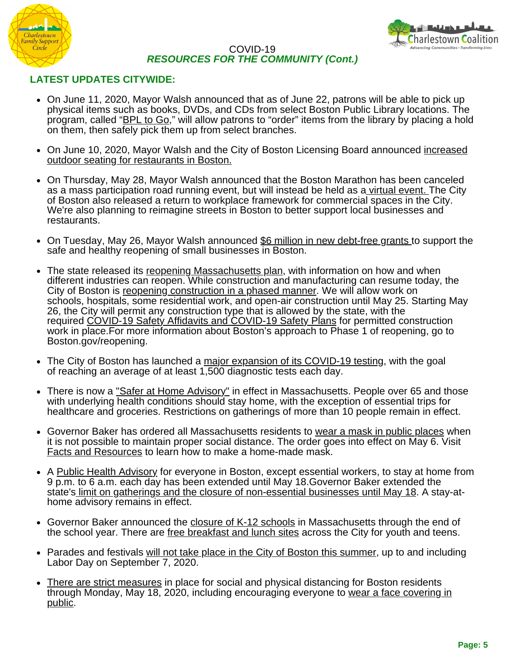



## **LATEST UPDATES CITYWIDE:**

- On June 11, 2020, Mayor Walsh announced that as of June 22, patrons will be able to pick up physical items such as books, DVDs, and CDs from select Boston Public Library locations. The program, called ["BPL to Go](https://www.bpl.org/news/bpl-to-go/)," will allow patrons to "order" items from the library by placing a hold on them, then safely pick them up from select branches.
- [On June 10, 2020, Mayor Walsh and the City of Boston Licensing Board announced increased](https://www.boston.gov/news/city-boston-increasing-outdoor-seating-restaurants) outdoor seating for restaurants in Boston.
- On Thursday, May 28, Mayor Walsh announced that the Boston Marathon has been canceled as a mass participation road running event, but will instead be held as [a virtual event.](https://www.baa.org/social-hub) The City of Boston also released a return to workplace framework for commercial spaces in the City. We're also planning to reimagine streets in Boston to better support local businesses and restaurants.
- On Tuesday, May 26, Mayor Walsh announced [\\$6 million in new debt-free grants](https://www.boston.gov/news/6-million-new-grant-funding-support-safe-reopening-small-businesses) to support the safe and healthy reopening of small businesses in Boston.
- The state released its [reopening Massachusetts plan,](https://www.mass.gov/info-details/reopening-massachusetts) with information on how and when different industries can reopen. While construction and manufacturing can resume today, the City of Boston is [reopening construction in a phased manner.](https://www.boston.gov/news/temporary-guidance-construction-city-boston) We will allow work on schools, hospitals, some residential work, and open-air construction until May 25. Starting May 26, the City will permit any construction type that is allowed by the state, with the required [COVID-19 Safety Affidavits and COVID-19 Safety Plans](https://www.boston.gov/news/temporary-guidance-construction-city-boston#safety-policies) for permitted construction work in place.For more information about Boston's approach to Phase 1 of reopening, go to Boston.gov/reopening.
- The City of Boston has launched a [major expansion of its COVID-19 testing](https://www.boston.gov/news/city-boston-launches-major-expansion-covid-19-testing), with the goal of reaching an average of at least 1,500 diagnostic tests each day.
- There is now a ["Safer at Home Advisory"](https://www.mass.gov/news/reopening-massachusetts-baker-polito-administration-initiates-transition-to-first-phase-of) in effect in Massachusetts. People over 65 and those with underlying health conditions should stay home, with the exception of essential trips for healthcare and groceries. Restrictions on gatherings of more than 10 people remain in effect.
- Governor Baker has ordered all Massachusetts residents to [wear a mask in public places](https://www.mass.gov/news/baker-polito-administration-orders-use-of-mask-or-face-covering-in-public-announces-increased) when it is not possible to maintain proper social distance. The order goes into effect on May 6. Visit [Facts and Resources](https://www.boston.gov/sites/default/files/file/2020/05/2003136%20covid19%20booklet%20proof%201.pdf) to learn how to make a home-made mask.
- A [Public Health Advisory](https://www.boston.gov/sites/default/files/file/2020/04/Advisory%20Curfew%20Extension%204%2029%202020.pdf) for everyone in Boston, except essential workers, to stay at home from 9 p.m. to 6 a.m. each day has been extended until May 18.Governor Baker extended the state'[s limit on gatherings and the closure of non-essential businesses until May 18](https://www.mass.gov/info-details/covid-19-essential-services). A stay-athome advisory remains in effect.
- Governor Baker announced the [closure of K-12 schools](https://www.bostonpublicschools.org/coronavirus) in Massachusetts through the end of the school year. There are [free breakfast and lunch sites](https://www.boston.gov/departments/food-access/map-covid19-food-resources) across the City for youth and teens.
- Parades and festivals [will not take place in the City of Boston this summer](https://www.boston.gov/news/city-boston-suspend-parades-and-festivals-through-labor-day), up to and including Labor Day on September 7, 2020.
- [There are strict measures](https://content.boston.gov/news/stricter-measures-place-social-physical-distancing-curb-covid-19-impact) in place for social and physical distancing for Boston residents [through Monday, May 18, 2020, including encouraging everyone to wear a face covering in](https://www.boston.gov/news/information-face-coverings-covid-19) public.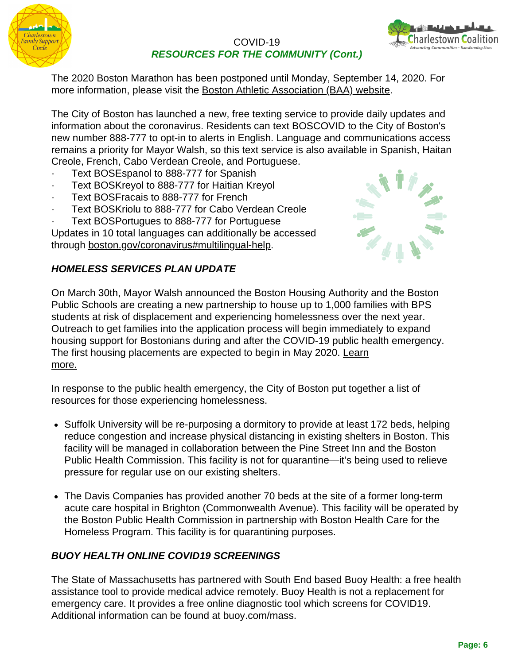



The 2020 Boston Marathon has been postponed until Monday, September 14, 2020. For more information, please visit the [Boston Athletic Association \(BAA\) website.](https://www.baa.org/124th-boston-marathon-postponed-september-14)

The City of Boston has launched a new, free texting service to provide daily updates and information about the coronavirus. Residents can text BOSCOVID to the City of Boston's new number 888-777 to opt-in to alerts in English. Language and communications access remains a priority for Mayor Walsh, so this text service is also available in Spanish, Haitan Creole, French, Cabo Verdean Creole, and Portuguese.

- Text BOSEspanol to 888-777 for Spanish
- Text BOSKreyol to 888-777 for Haitian Kreyol
- Text BOSFracais to 888-777 for French
- Text BOSKriolu to 888-777 for Cabo Verdean Creole
- Text BOSPortugues to 888-777 for Portuguese

Updates in 10 total languages can additionally be accessed through [boston.gov/coronavirus#multilingual-help.](http://boston.gov/coronavirus#multilingual-help)



#### *HOMELESS SERVICES PLAN UPDATE*

On March 30th, Mayor Walsh announced the Boston Housing Authority and the Boston Public Schools are creating a new partnership to house up to 1,000 families with BPS students at risk of displacement and experiencing homelessness over the next year. Outreach to get families into the application process will begin immediately to expand housing support for Bostonians during and after the COVID-19 public health emergency. The first housing placements are expected to begin in May 2020. [Learn](https://www.boston.gov/news/subsidized-housing-be-created-1000-boston-public-schools-families-risk-displacement) [more.](https://www.boston.gov/news/subsidized-housing-be-created-1000-boston-public-schools-families-risk-displacement)

In response to the public health emergency, the City of Boston put together a list of resources for those experiencing homelessness.

- Suffolk University will be re-purposing a dormitory to provide at least 172 beds, helping reduce congestion and increase physical distancing in existing shelters in Boston. This facility will be managed in collaboration between the Pine Street Inn and the Boston Public Health Commission. This facility is not for quarantine—it's being used to relieve pressure for regular use on our existing shelters.
- The Davis Companies has provided another 70 beds at the site of a former long-term acute care hospital in Brighton (Commonwealth Avenue). This facility will be operated by the Boston Public Health Commission in partnership with Boston Health Care for the Homeless Program. This facility is for quarantining purposes.

## *BUOY HEALTH ONLINE COVID19 SCREENINGS*

The State of Massachusetts has partnered with South End based Buoy Health: a free health assistance tool to provide medical advice remotely. Buoy Health is not a replacement for emergency care. It provides a free online diagnostic tool which screens for COVID19. Additional information can be found at **[buoy.com/mass](http://buoy.com/mass).**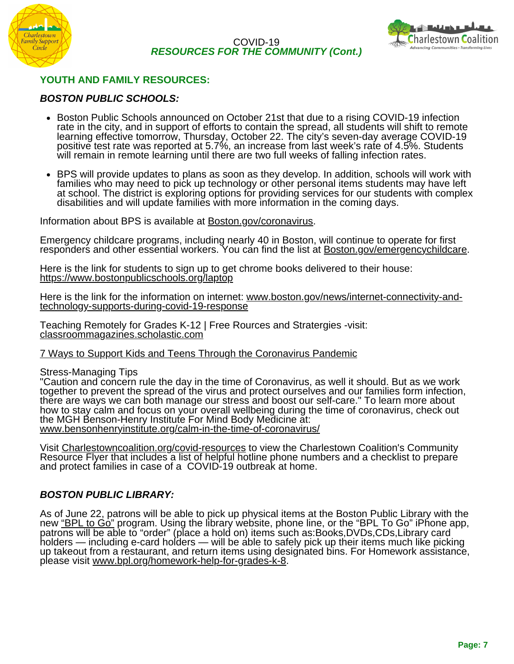



## **YOUTH AND FAMILY RESOURCES:**

#### *BOSTON PUBLIC SCHOOLS:*

- Boston Public Schools announced on October 21st that due to a rising COVID-19 infection rate in the city, and in support of efforts to contain the spread, all students will shift to remote learning effective tomorrow, Thursday, October 22. The city's seven-day average COVID-19 positive test rate was reported at 5.7%, an increase from last week's rate of 4.5%. Students will remain in remote learning until there are two full weeks of falling infection rates.
- BPS will provide updates to plans as soon as they develop. In addition, schools will work with families who may need to pick up technology or other personal items students may have left at school. The district is exploring options for providing services for our students with complex disabilities and will update families with more information in the coming days.

Information about BPS is available at [Boston.gov/coronavirus](http://boston.gov/coronavirus).

Emergency childcare programs, including nearly 40 in Boston, will continue to operate for first responders and other essential workers. You can find the list at [Boston.gov/emergencychildcare.](http://boston.gov/emergencychildcare)

Here is the link for students to sign up to get chrome books delivered to their house: <https://www.bostonpublicschools.org/laptop>

[Here is the link for the information on internet: www.boston.gov/news/internet-connectivity-and](http://www.boston.gov/news/internet-connectivity-and-technology-supports-during-covid-19-response)technology-supports-during-covid-19-response

Teaching Remotely for Grades K-12 | Free Rources and Stratergies -visit: [classroommagazines.scholastic.com](http://classroommagazines.scholastic.com/)

#### [7 Ways to Support Kids and Teens Through the Coronavirus Pandemic](https://www.mghclaycenter.org/hot-topics/7-ways-to-support-kids-and-teens-through-the-coronavirus-pandemic/)

Stress-Managing Tips

"Caution and concern rule the day in the time of Coronavirus, as well it should. But as we work together to prevent the spread of the virus and protect ourselves and our families form infection, there are ways we can both manage our stress and boost our self-care." To learn more about how to stay calm and focus on your overall wellbeing during the time of coronavirus, check out the MGH Benson-Henry Institute For Mind Body Medicine at: [www.bensonhenryinstitute.org/calm-in-the-time-of-coronavirus/](https://www.bensonhenryinstitute.org/calm-in-the-time-of-coronavirus/www.bensonhenryinstitute.org/calm-in-the-time-of-coronavirus/)

[Visit Charlestowncoalition.org/covid-resources to view the Charlestown Coalition's Community](http://charlestowncoalition.org/covid-resources) Resource Flyer that includes a list of helpful hotline phone numbers and a checklist to prepare and protect families in case of [a COVID-19 outbreak at home.](http://charlestowncoalition.org/covid-resources)

#### *BOSTON PUBLIC LIBRARY:*

As of June 22, patrons will be able to pick up physical items at the Boston Public Library with the new <u>["BPL to Go"](https://www.bpl.org/news/bpl-to-go/)</u> program. Using the library website, phone line, or the "BPL To Go" iPhone app, patrons will be able to "order" (place a hold on) items such as:Books,DVDs,CDs,Library card holders — including e-card holders — will be able to safely pick up their items much like picking up takeout from a restaurant, and return items using designated bins. For Homework assistance, please visit [www.bpl.org/homework-help-for-grades-k-8.](http://www.bpl.org/homework-help-for-grades-k-8)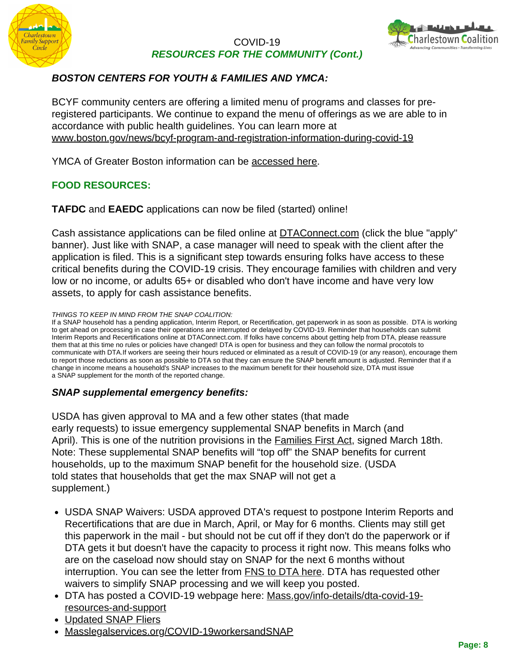



## *BOSTON CENTERS FOR YOUTH & FAMILIES AND YMCA:*

BCYF community centers are offering a limited menu of programs and classes for preregistered participants. We continue to expand the menu of offerings as we are able to in accordance with public health guidelines. You can learn more at [www.boston.gov/news/bcyf-program-and-registration-information-during-covid-19](http://www.boston.gov/news/bcyf-program-and-registration-information-during-covid-19)

YMCA of Greater Boston information can be [accessed here.](https://ymcaboston.org/wp-content/uploads/2020/06/Reopening-Our-Y-FAQs-Phase-2.pdf)

## **FOOD RESOURCES:**

**TAFDC** and **EAEDC** applications can now be filed (started) online!

Cash assistance applications can be filed online at [DTAConnect.com](http://dtaconnect.com/) (click the blue "apply" banner). Just like with SNAP, a case manager will need to speak with the client after the application is filed. This is a significant step towards ensuring folks have access to these critical benefits during the COVID-19 crisis. They encourage families with children and very low or no income, or adults 65+ or disabled who don't have income and have very low assets, to apply for cash assistance benefits.

*THINGS TO KEEP IN MIND FROM THE SNAP COALITION:*

If a SNAP household has a pending application, Interim Report, or Recertification, get paperwork in as soon as possible. DTA is working to get ahead on processing in case their operations are interrupted or delayed by COVID-19. Reminder that households can submit Interim Reports and Recertifications online at DTAConnect.com. If folks have concerns about getting help from DTA, please reassure them that at this time no rules or policies have changed! DTA is open for business and they can follow the normal procotols to communicate with DTA.If workers are seeing their hours reduced or eliminated as a result of COVID-19 (or any reason), encourage them to report those reductions as soon as possible to DTA so that they can ensure the SNAP benefit amount is adjusted. Reminder that if a change in income means a household's SNAP increases to the maximum benefit for their household size, DTA must issue a SNAP supplement for the month of the reported change.

#### *SNAP supplemental emergency benefits:*

USDA has given approval to MA and a few other states (that made early requests) to issue emergency supplemental SNAP benefits in March (and April). This is one of the nutrition provisions in the **[Families First Act](https://www.cbpp.org/research/food-assistance/usda-states-must-act-swiftly-to-deliver-food-assistance-allowed-by-families), signed March 18th.** Note: These supplemental SNAP benefits will "top off" the SNAP benefits for current households, up to the maximum SNAP benefit for the household size. (USDA told states that households that get the max SNAP will not get a supplement.)

- USDA SNAP Waivers: USDA approved DTA's request to postpone Interim Reports and Recertifications that are due in March, April, or May for 6 months. Clients may still get this paperwork in the mail - but should not be cut off if they don't do the paperwork or if DTA gets it but doesn't have the capacity to process it right now. This means folks who are on the caseload now should stay on SNAP for the next 6 months without interruption. You can see the letter from [FNS to DTA here](https://fns-prod.azureedge.net/sites/default/files/resource-files/MA-SNAP-COV-002-ExtendCertPeriods-Approval.pdf). DTA has requested other waivers to simplify SNAP processing and we will keep you posted.
- [DTA has posted a COVID-19 webpage here: Mass.gov/info-details/dta-covid-19](https://www.mass.gov/info-details/dta-covid-19-resources-and-support) resources-and-support
- [Updated SNAP Fliers](https://docs.google.com/document/d/1gvBDe0LamPn8Y7AFXUGsoKAKyaaz2qqbvWeypdIFG00/edit#heading=h.i6m3hu9gmnvt)
- [Masslegalservices.org/COVID-19workersandSNAP](https://www.masslegalservices.org/COVID-19workersandSNAP)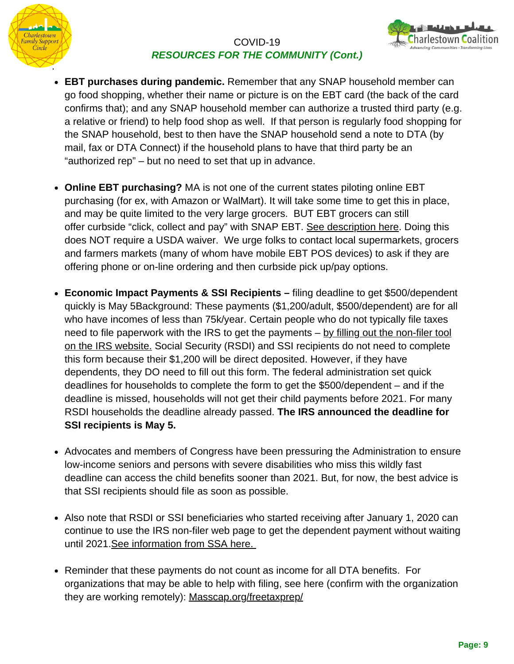



- **EBT purchases during pandemic.** Remember that any SNAP household member can go food shopping, whether their name or picture is on the EBT card (the back of the card confirms that); and any SNAP household member can authorize a trusted third party (e.g. a relative or friend) to help food shop as well. If that person is regularly food shopping for the SNAP household, best to then have the SNAP household send a note to DTA (by mail, fax or DTA Connect) if the household plans to have that third party be an "authorized rep" – but no need to set that up in advance.
- **Online EBT purchasing?** MA is not one of the current states piloting online EBT purchasing (for ex, with Amazon or WalMart). It will take some time to get this in place, and may be quite limited to the very large grocers. BUT EBT grocers can still offer curbside "click, collect and pay" with SNAP EBT. [See description here](https://www.einpresswire.com/article_print/512235864/it-s-a-snap-to-order-online-and-pay-at-store). Doing this does NOT require a USDA waiver. We urge folks to contact local supermarkets, grocers and farmers markets (many of whom have mobile EBT POS devices) to ask if they are offering phone or on-line ordering and then curbside pick up/pay options.
- **Economic Impact Payments & SSI Recipients** filing deadline to get \$500/dependent quickly is May 5Background: These payments (\$1,200/adult, \$500/dependent) are for all who have incomes of less than 75k/year. Certain people who do not typically file taxes [need to file paperwork with the IRS to get the payments – by filling out the non-filer tool](https://www.irs.gov/coronavirus/non-filers-enter-payment-info-here) on the IRS website. Social Security (RSDI) and SSI recipients do not need to complete this form because their \$1,200 will be direct deposited. However, if they have dependents, they DO need to fill out this form. The federal administration set quick deadlines for households to complete the form to get the \$500/dependent – and if the deadline is missed, households will not get their child payments before 2021. For many RSDI households the deadline already passed. **The IRS announced the deadline for SSI recipients is May 5.**
- Advocates and members of Congress have been pressuring the Administration to ensure low-income seniors and persons with severe disabilities who miss this wildly fast deadline can access the child benefits sooner than 2021. But, for now, the best advice is that SSI recipients should file as soon as possible.
- Also note that RSDI or SSI beneficiaries who started receiving after January 1, 2020 can continue to use the IRS non-filer web page to get the dependent payment without waiting until 2021.[See information from SSA here.](https://www.ssa.gov/coronavirus/#anchor2)
- Reminder that these payments do not count as income for all DTA benefits. For organizations that may be able to help with filing, see here (confirm with the organization they are working remotely): [Masscap.org/freetaxprep/](https://www.masscap.org/freetaxprep/)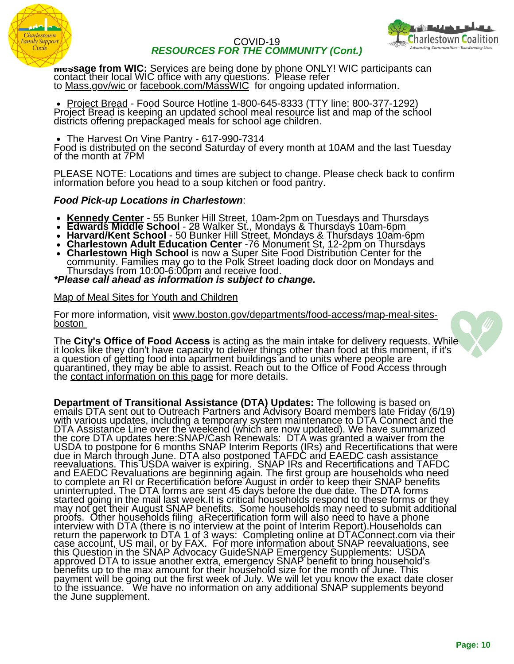



**Message from WIC:** Services are being done by phone ONLY! WIC participants can contact their local WIC office with any questions. Please refer to [Mass.gov/wic o](http://mass.gov/wic)r [facebook.com/MassWIC](http://facebook.com/MassWIC) for ongoing updated information.

[Project Bread](http://www.projectbread.org/news-and-events/news/covid-19-hunger-food.html) - Food Source Hotline 1-800-645-8333 (TTY line: 800-377-1292) Project Bread is keeping an updated school meal resource list and map of the school districts offering prepackaged meals for school age children.

• The Harvest On Vine Pantry - 617-990-7314

Food is distributed on the second Saturday of every month at 10AM and the last Tuesday of the month at 7PM

PLEASE NOTE: Locations and times are subject to change. Please check back to confirm information before you head to a soup kitchen or food pantry.

#### *Food Pick-up Locations in Charlestown*:

- **[Kennedy Center](https://www.kennedycenter.org/)** 55 Bunker Hill Street, 10am-2pm on Tuesdays and Thursdays
- **Edwards Middle School** 28 Walker St., Mondays & Thursdays 10am-6pm
- **Harvard/Kent School** 50 Bunker Hill Street, Mondays & Thursdays 10am-6pm
- **Charlestown Adult Education Center** -76 Monument St, 12-2pm on Thursdays
- **Charlestown High School** is now a Super Site Food Distribution Center for the community. Families may go to the Polk Street loading dock door on Mondays and Thursdays from 10:00-6:00pm and receive food.
- *\*Please call ahead as information is subject to change.*

#### [Map of Meal Sites for Youth and Children](https://www.boston.gov/departments/food-access/map-meal-sites-boston)

For more information, visit www.boston.gov/departments/food-access/map-meal-sitesboston

The **City's Office of Food Access** is acting as the main intake for delivery requests. While it looks like they don't have capacity to deliver things other than food at this moment, if it's a question of getting food into apartment buildings and to units where people are quarantined, they may be able to assist. Reach out to the Office of Food Access through the [contact information on this page](https://www.boston.gov/news/food-resources-during-covid-19) for more details.

**Department of Transitional Assistance (DTA) Updates:** The following is based on emails DTA sent out to Outreach Partners and Advisory Board members late Friday (6/19) with various updates, including a temporary system maintenance to DTA Connect and the DTA Assistance Line over the weekend (which are now updated). We have summarized the core DTA updates here:SNAP/Cash Renewals: DTA was granted a waiver from the USDA to postpone for 6 months SNAP Interim Reports (IRs) and Recertifications that were due in March through June. DTA also postponed TAFDC and EAEDC cash assistance reevaluations. This USDA waiver is expiring. SNAP IRs and Recertifications and TAFDC and EAEDC Revaluations are beginning again. The first group are households who need to complete an RI or Recertification before August in order to keep their SNAP benefits uninterrupted. The DTA forms are sent 45 days before the due date. The DTA forms started going in the mail last week.It is critical households respond to these forms or they may not get their August SNAP benefits. Some households may need to submit additional proofs. Other households filing aRecertification form will also need to have a phone interview with DTA (there is no interview at the point of Interim Report).Households can return the paperwork to DTA 1 of 3 ways: Completing online at DTAConnect.com via their case account, US mail, or by FAX. For more information about SNAP reevaluations, see this Question in the SNAP Advocacy GuideSNAP Emergency Supplements: USDA approved DTA to issue another extra, emergency SNAP benefit to bring household's benefits up to the max amount for their household size for the month of June. This payment will be going out the first week of July. We will let you know the exact date closer to the issuance. Uwe have no information on any additional SNAP supplements beyond the June supplement.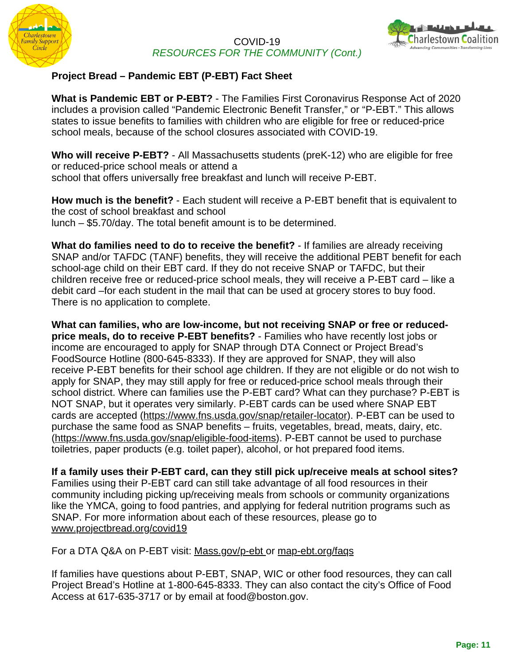



## **Project Bread – Pandemic EBT (P-EBT) Fact Sheet**

**What is Pandemic EBT or P-EBT?** - The Families First Coronavirus Response Act of 2020 includes a provision called "Pandemic Electronic Benefit Transfer," or "P-EBT." This allows states to issue benefits to families with children who are eligible for free or reduced-price school meals, because of the school closures associated with COVID-19.

**Who will receive P-EBT?** - All Massachusetts students (preK-12) who are eligible for free or reduced-price school meals or attend a school that offers universally free breakfast and lunch will receive P-EBT.

**How much is the benefit?** - Each student will receive a P-EBT benefit that is equivalent to the cost of school breakfast and school lunch – \$5.70/day. The total benefit amount is to be determined.

**What do families need to do to receive the benefit?** - If families are already receiving SNAP and/or TAFDC (TANF) benefits, they will receive the additional PEBT benefit for each school-age child on their EBT card. If they do not receive SNAP or TAFDC, but their children receive free or reduced-price school meals, they will receive a P-EBT card – like a debit card –for each student in the mail that can be used at grocery stores to buy food. There is no application to complete.

**What can families, who are low-income, but not receiving SNAP or free or reducedprice meals, do to receive P-EBT benefits?** - Families who have recently lost jobs or income are encouraged to apply for SNAP through DTA Connect or Project Bread's FoodSource Hotline (800-645-8333). If they are approved for SNAP, they will also receive P-EBT benefits for their school age children. If they are not eligible or do not wish to apply for SNAP, they may still apply for free or reduced-price school meals through their school district. Where can families use the P-EBT card? What can they purchase? P-EBT is NOT SNAP, but it operates very similarly. P-EBT cards can be used where SNAP EBT cards are accepted ([https://www.fns.usda.gov/snap/retailer-locator\)](https://www.fns.usda.gov/snap/retailer-locator). P-EBT can be used to purchase the same food as SNAP benefits – fruits, vegetables, bread, meats, dairy, etc. [\(https://www.fns.usda.gov/snap/eligible-food-items\)](https://www.fns.usda.gov/snap/eligible-food-items). P-EBT cannot be used to purchase toiletries, paper products (e.g. toilet paper), alcohol, or hot prepared food items.

**If a family uses their P-EBT card, can they still pick up/receive meals at school sites?** Families using their P-EBT card can still take advantage of all food resources in their community including picking up/receiving meals from schools or community organizations like the YMCA, going to food pantries, and applying for federal nutrition programs such as SNAP. For more information about each of these resources, please go to [www.projectbread.org/covid19](http://www.projectbread.org/covid19)

For a DTA Q&A on P-EBT visit: [Mass.gov/p-ebt o](http://mass.gov/p-ebt)r [map-ebt.org/faqs](https://www.map-ebt.org/faqs)

If families have questions about P-EBT, SNAP, WIC or other food resources, they can call Project Bread's Hotline at 1-800-645-8333. They can also contact the city's Office of Food Access at 617-635-3717 or by email at [food@boston.gov.](http://boston.gov/)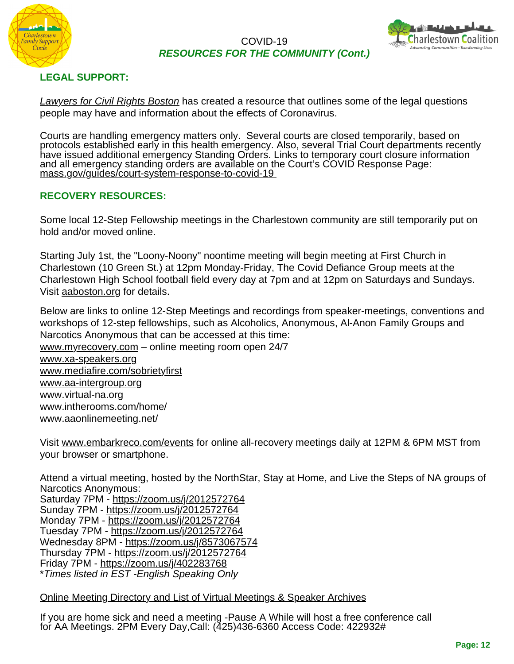



## **LEGAL SUPPORT:**

*[Lawyers for Civil Rights Boston](http://lawyersforcivilrights.org/coronavirus/)* has created a resource that outlines some of the legal questions people may have and information about the effects of Coronavirus.

Courts are handling emergency matters only. Several courts are closed temporarily, based on protocols established early in this health emergency. Also, several Trial Court departments recently have issued additional emergency Standing Orders. Links to temporary court closure information and all emergency standing orders are available on t[h](http://mass.gov/guides/court-system-response-to-covid-19)e Court's COVID Response Page: [mass.gov/guides/court-system-response-to-covid-19](http://mass.gov/guides/court-system-response-to-covid-19)

#### **RECOVERY RESOURCES:**

Some local 12-Step Fellowship meetings in the Charlestown community are still temporarily put on hold and/or moved online.

Starting July 1st, the "Loony-Noony" noontime meeting will begin meeting at First Church in Charlestown (10 Green St.) at 12pm Monday-Friday, The Covid Defiance Group meets at the Charlestown High School football field every day at 7pm and at 12pm on Saturdays and Sundays. Visit [aaboston.org](http://aaboston.org/) for details.

Below are links to online 12-Step Meetings and recordings from speaker-meetings, conventions and workshops of 12-step fellowships, such as Alcoholics, Anonymous, Al-Anon Family Groups and Narcotics Anonymous that can be accessed at this time: [www.myrecovery.com](http://www.myrecovery.com/) – online meeting room open 24/7

[www.xa-speakers.org](http://www.xa-speakers.org/) [www.mediafire.com/sobrietyfirst](http://www.mediafire.com/sobrietyfirst) [www.aa-intergroup.org](http://www.aa-intergroup.org/) [www.virtual-na.org](http://www.virtual-na.org/) [www.intherooms.com/home/](http://www.intherooms.com/home/) [www.aaonlinemeeting.net/](https://www.aaonlinemeeting.net/)

Visit [www.embarkreco.com/events](http://www.embarkreco.com/events) for online all-recovery meetings daily at 12PM & 6PM MST from your browser or smartphone.

Attend a virtual meeting, hosted by the NorthStar, Stay at Home, and Live the Steps of NA groups of Narcotics Anonymous:

Saturday 7PM - <https://zoom.us/j/2012572764> Sunday 7PM - <https://zoom.us/j/2012572764> Monday 7PM - <https://zoom.us/j/2012572764> Tuesday 7PM -<https://zoom.us/j/2012572764> Wednesday 8PM - <https://zoom.us/j/8573067574> Thursday 7PM -<https://zoom.us/j/2012572764> Friday 7PM - <https://zoom.us/j/402283768> \**Times listed in EST -English Speaking Only*

#### [Online Meeting Directory and List of Virtual Meetings & Speaker Archives](https://www.thetokenshop.com/Online_AA_Meetings)

If you are home sick and need a meeting -Pause A While will host a free conference call for AA Meetings. 2PM Every Day,Call: (425)436-6360 Access Code: 422932#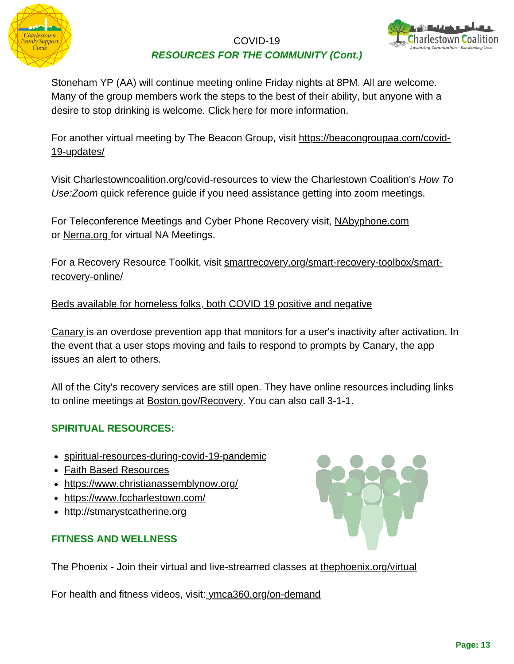



Stoneham YP (AA) will continue meeting online Friday nights at 8PM. All are welcome. Many of the group members work the steps to the best of their ability, but anyone with a desire to stop drinking is welcome. [Click here](https://meetings.intherooms.com/aa/Young-People/all/98721) for more information.

For another virtual meeting by The Beacon Group, visit https://beacongroupaa.com/covid-19-updates/

Visit [Charlestowncoalition.org/covid-resources](http://charlestowncoalition.org/covid-resources) to view the Charlestown Coalition's *How To Use:Zoom* quick reference guide if you need assistance getting into zoom meetings.

For Teleconference Meetings and Cyber Phone Recovery visit, [NAbyphone.com](http://nabyphone.com/) or [Nerna.org f](http://nerna.org/)or virtual NA Meetings.

[For a Recovery Resource Toolkit, visit smartrecovery.org/smart-recovery-toolbox/smart](http://www.smartrecovery.org/smart-recovery-toolbox/smart-recovery-online/)recovery-online/

## [Beds available for homeless folks, both COVID 19 positive and negative](http://charlestowncoalition.org/wp-content/uploads/2020/04/bedlist.pdf)

[Canary](https://vimeo.com/276249705?fbclid=IwAR16ft7qYvYB34CACnC4pAVBLzzUO7CdO4yLrHA869jHMYKZ36WDH1HLkbQ) is an overdose prevention app that monitors for a user's inactivity after activation. In the event that a user stops moving and fails to respond to prompts by Canary, the app issues an alert to others.

All of the City's recovery services are still open. They have online resources including links to online meetings at [Boston.gov/Recovery](http://boston.gov/Recovery). You can also call 3-1-1.

## **SPIRITUAL RESOURCES:**

- [spiritual-resources-during-covid-19-pandemic](https://hds.harvard.edu/life-at-hds/religious-and-spiritual-life/spiritual-resources-during-covid-19-pandemic)
- [Faith Based Resources](https://www.cdc.gov/flu/pandemic-resources/archived/community-planning.html)
- <https://www.christianassemblynow.org/>
- <https://www.fccharlestown.com/>
- [http://stmarystcatherine.org](http://stmarystcatherine.org/)

## **FITNESS AND WELLNESS**



The Phoenix - Join their virtual and live-streamed classes at [thephoenix.org/virtual](http://thephoenix.org/virtual)

For health and fitness videos, visit: [ymca360.org/on-demand](https://ymca360.org/on-demand)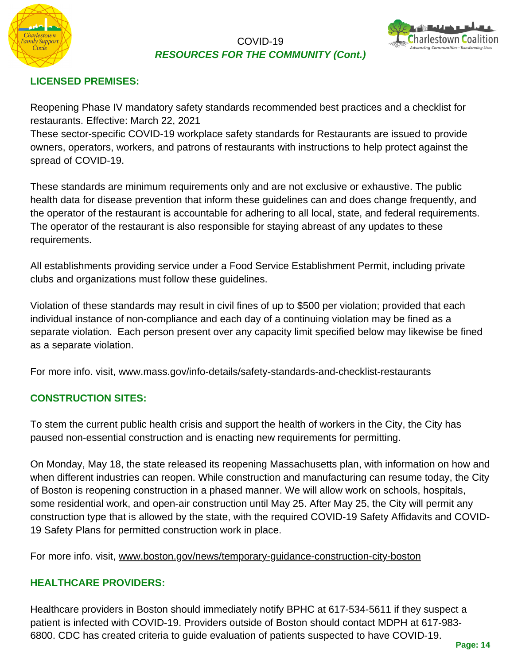



## **LICENSED PREMISES:**

Reopening Phase IV mandatory safety standards recommended best practices and a checklist for restaurants. Effective: March 22, 2021

These sector-specific COVID-19 workplace safety standards for Restaurants are issued to provide owners, operators, workers, and patrons of restaurants with instructions to help protect against the spread of COVID-19.

These standards are minimum requirements only and are not exclusive or exhaustive. The public health data for disease prevention that inform these guidelines can and does change frequently, and the operator of the restaurant is accountable for adhering to all local, state, and federal requirements. The operator of the restaurant is also responsible for staying abreast of any updates to these requirements.

All establishments providing service under a Food Service Establishment Permit, including private clubs and organizations must follow these guidelines.

Violation of these standards may result in civil fines of up to \$500 per violation; provided that each individual instance of non-compliance and each day of a continuing violation may be fined as a separate violation. Each person present over any capacity limit specified below may likewise be fined as a separate violation.

For more info. visit, [www.mass.gov/info-details/safety-standards-and-checklist-restaurants](https://www.mass.gov/info-details/safety-standards-and-checklist-restaurants)

## **CONSTRUCTION SITES:**

To stem the current public health crisis and support the health of workers in the City, the City has paused non-essential construction and is enacting new requirements for permitting.

On Monday, May 18, the state released its reopening Massachusetts plan, with information on how and when different industries can reopen. While construction and manufacturing can resume today, the City of Boston is reopening construction in a phased manner. We will allow work on schools, hospitals, some residential work, and open-air construction until May 25. After May 25, the City will permit any construction type that is allowed by the state, with the required COVID-19 Safety Affidavits and COVID-19 Safety Plans for permitted construction work in place.

For more info. visit, [www.boston.gov/news/temporary-guidance-construction-city-boston](https://www.boston.gov/news/temporary-guidance-construction-city-boston)

#### **HEALTHCARE PROVIDERS:**

Healthcare providers in Boston should immediately notify BPHC at 617-534-5611 if they suspect a patient is infected with COVID-19. Providers outside of Boston should contact MDPH at 617-983- 6800. CDC has created criteria to guide evaluation of patients suspected to have COVID-19.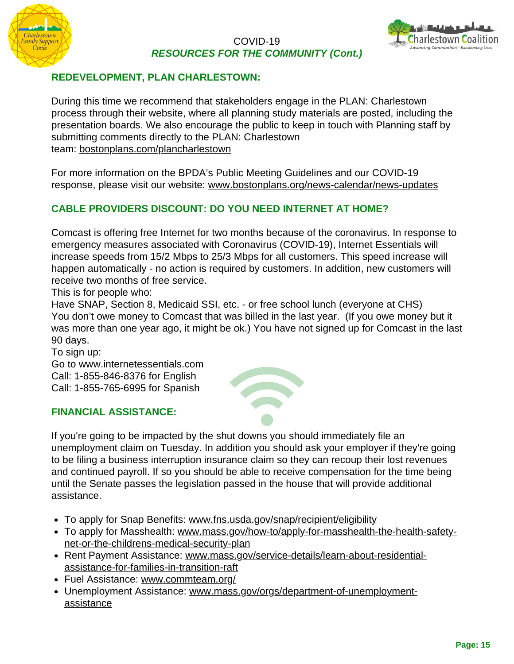



## **REDEVELOPMENT, PLAN CHARLESTOWN:**

During this time we recommend that stakeholders engage in the PLAN: Charlestown process through their website, where all planning study materials are posted, including the presentation boards. We also encourage the public to keep in touch with Planning staff by submitting comments directly to the PLAN: Charlestown team: [bostonplans.com/plancharlestown](http://bostonplans.com/plancharlestown)

For more information on the BPDA's Public Meeting Guidelines and our COVID-19 response, please visit our website: [www.bostonplans.org/news-calendar/news-updates](http://www.bostonplans.org/news-calendar/news-updates)

## **CABLE PROVIDERS DISCOUNT: DO YOU NEED INTERNET AT HOME?**

Comcast is offering free Internet for two months because of the coronavirus. In response to emergency measures associated with Coronavirus (COVID-19), Internet Essentials will increase speeds from 15/2 Mbps to 25/3 Mbps for all customers. This speed increase will happen automatically - no action is required by customers. In addition, new customers will receive two months of free service.

This is for people who:

Have SNAP, Section 8, Medicaid SSI, etc. - or free school lunch (everyone at CHS) You don't owe money to Comcast that was billed in the last year. (If you owe money but it was more than one year ago, it might be ok.) You have not signed up for Comcast in the last 90 days.

To sign up:

Go to www.internetessentials.com Call: 1-855-846-8376 for English Call: 1-855-765-6995 for Spanish

#### **FINANCIAL ASSISTANCE:**



- To apply for Snap Benefits: [www.fns.usda.gov/snap/recipient/eligibility](http://www.fns.usda.gov/snap/recipient/eligibility)
- [To apply for Masshealth: www.mass.gov/how-to/apply-for-masshealth-the-health-safety](http://www.mass.gov/how-to/apply-for-masshealth-the-health-safety-net-or-the-childrens-medical-security-plan)net-or-the-childrens-medical-security-plan
- [Rent Payment Assistance: www.mass.gov/service-details/learn-about-residential](http://www.mass.gov/service-details/learn-about-residential-assistance-for-families-in-transition-raft)assistance-for-families-in-transition-raft
- Fuel Assistance: [www.commteam.org/](http://www.commteam.org/)
- [Unemployment Assistance: www.mass.gov/orgs/department-of-unemployment](http://www.mass.gov/orgs/department-of-unemployment-assistance)assistance

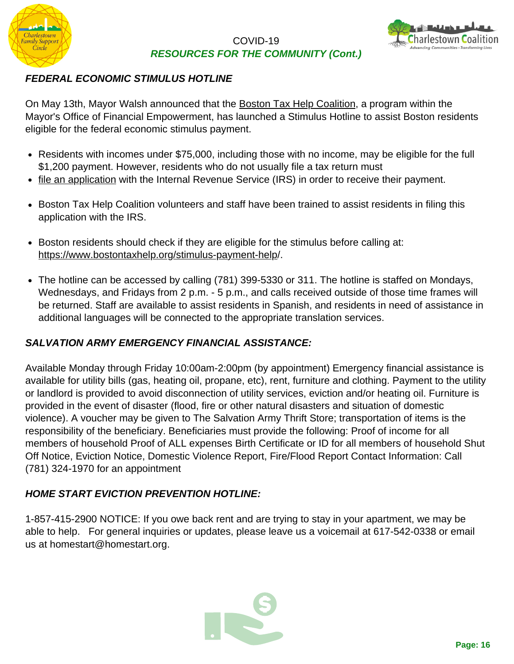



## *FEDERAL ECONOMIC STIMULUS HOTLINE*

On May 13th, Mayor Walsh announced that the [Boston Tax Help Coalition,](https://www.bostontaxhelp.org/) a program within the Mayor's Office of Financial Empowerment, has launched a Stimulus Hotline to assist Boston residents eligible for the federal economic stimulus payment.

- Residents with incomes under \$75,000, including those with no income, may be eligible for the full \$1,200 payment. However, residents who do not usually file a tax return must
- [file an application](https://www.irs.gov/coronavirus/non-filers-enter-payment-info-here) with the Internal Revenue Service (IRS) in order to receive their payment.
- Boston Tax Help Coalition volunteers and staff have been trained to assist residents in filing this application with the IRS.
- Boston residents should check if they are eligible for the stimulus before calling at: [https://www.bostontaxhelp.org/stimulus-payment-help/](https://www.bostontaxhelp.org/stimulus-payment-help).
- The hotline can be accessed by calling (781) 399-5330 or 311. The hotline is staffed on Mondays, Wednesdays, and Fridays from 2 p.m. - 5 p.m., and calls received outside of those time frames will be returned. Staff are available to assist residents in Spanish, and residents in need of assistance in additional languages will be connected to the appropriate translation services.

## *SALVATION ARMY EMERGENCY FINANCIAL ASSISTANCE:*

Available Monday through Friday 10:00am-2:00pm (by appointment) Emergency financial assistance is available for utility bills (gas, heating oil, propane, etc), rent, furniture and clothing. Payment to the utility or landlord is provided to avoid disconnection of utility services, eviction and/or heating oil. Furniture is provided in the event of disaster (flood, fire or other natural disasters and situation of domestic violence). A voucher may be given to The Salvation Army Thrift Store; transportation of items is the responsibility of the beneficiary. Beneficiaries must provide the following: Proof of income for all members of household Proof of ALL expenses Birth Certificate or ID for all members of household Shut Off Notice, Eviction Notice, Domestic Violence Report, Fire/Flood Report Contact Information: Call (781) 324-1970 for an appointment

## *HOME START EVICTION PREVENTION HOTLINE:*

1-857-415-2900 NOTICE: If you owe back rent and are trying to stay in your apartment, we may be able to help. For general inquiries or updates, please leave us a voicemail at 617-542-0338 or email us at homestart@homestart.org.

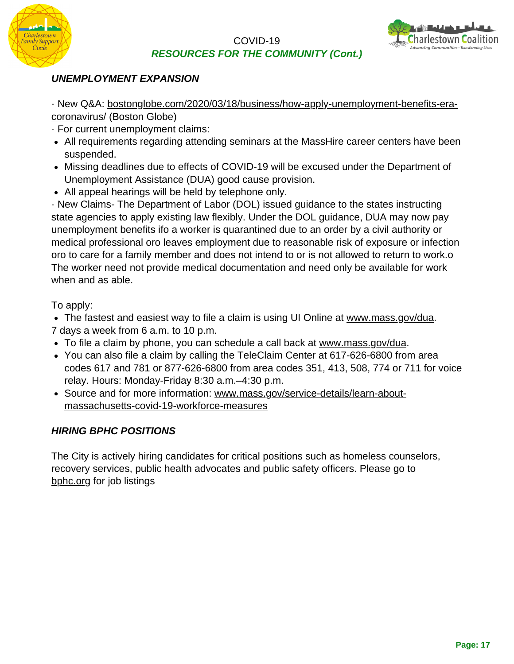



## *UNEMPLOYMENT EXPANSION*

[· New Q&A: bostonglobe.com/2020/03/18/business/how-apply-unemployment-benefits-era](http://bostonglobe.com/2020/03/18/business/how-apply-unemployment-benefits-era-coronavirus/)coronavirus/ (Boston Globe)

- · For current unemployment claims:
- All requirements regarding attending seminars at the MassHire career centers have been suspended.
- Missing deadlines due to effects of COVID-19 will be excused under the Department of Unemployment Assistance (DUA) good cause provision.
- All appeal hearings will be held by telephone only.

· New Claims- The Department of Labor (DOL) issued guidance to the states instructing state agencies to apply existing law flexibly. Under the DOL guidance, DUA may now pay unemployment benefits ifo a worker is quarantined due to an order by a civil authority or medical professional oro leaves employment due to reasonable risk of exposure or infection oro to care for a family member and does not intend to or is not allowed to return to work.o The worker need not provide medical documentation and need only be available for work when and as able.

## To apply:

The fastest and easiest way to file a claim is using UI Online at [www.mass.gov/dua.](http://www.mass.gov/dua) 7 days a week from 6 a.m. to 10 p.m.

- To file a claim by phone, you can schedule a call back at [www.mass.gov/dua](http://www.mass.gov/dua).
- You can also file a claim by calling the TeleClaim Center at 617-626-6800 from area codes 617 and 781 or 877-626-6800 from area codes 351, 413, 508, 774 or 711 for voice relay. Hours: Monday-Friday 8:30 a.m.–4:30 p.m.
- [Source and for more information: www.mass.gov/service-details/learn-about](http://www.mass.gov/service-details/learn-about-massachusetts-covid-19-workforce-measures)massachusetts-covid-19-workforce-measures

## *HIRING BPHC POSITIONS*

The City is actively hiring candidates for critical positions such as homeless counselors, recovery services, public health advocates and public safety officers. Please go to [bphc.org](http://bphc.org/) for job listings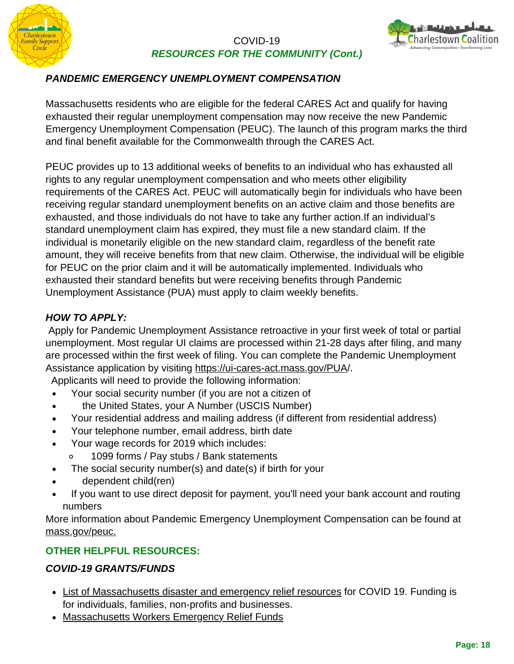



## *PANDEMIC EMERGENCY UNEMPLOYMENT COMPENSATION*

Massachusetts residents who are eligible for the federal CARES Act and qualify for having exhausted their regular unemployment compensation may now receive the new Pandemic Emergency Unemployment Compensation (PEUC). The launch of this program marks the third and final benefit available for the Commonwealth through the CARES Act.

PEUC provides up to 13 additional weeks of benefits to an individual who has exhausted all rights to any regular unemployment compensation and who meets other eligibility requirements of the CARES Act. PEUC will automatically begin for individuals who have been receiving regular standard unemployment benefits on an active claim and those benefits are exhausted, and those individuals do not have to take any further action.If an individual's standard unemployment claim has expired, they must file a new standard claim. If the individual is monetarily eligible on the new standard claim, regardless of the benefit rate amount, they will receive benefits from that new claim. Otherwise, the individual will be eligible for PEUC on the prior claim and it will be automatically implemented. Individuals who exhausted their standard benefits but were receiving benefits through Pandemic Unemployment Assistance (PUA) must apply to claim weekly benefits.

## *HOW TO APPLY:*

Apply for Pandemic Unemployment Assistance retroactive in your first week of total or partial unemployment. Most regular UI claims are processed within 21-28 days after filing, and many are processed within the first week of filing. You can complete the Pandemic Unemployment Assistance application by visiting [https://ui-cares-act.mass.gov/PUA/](https://ui-cares-act.mass.gov/PUA).

Applicants will need to provide the following information:

- Your social security number (if you are not a citizen of  $\bullet$
- the United States, your A Number (USCIS Number)  $\bullet$
- Your residential address and mailing address (if different from residential address)  $\bullet$
- Your telephone number, email address, birth date
- Your wage records for 2019 which includes:  $\bullet$ 
	- $\circ$ 1099 forms / Pay stubs / Bank statements
	- The social security number(s) and date(s) if birth for your
- dependent child(ren)
- If you want to use direct deposit for payment, you'll need your bank account and routing  $\bullet$ numbers

More information about Pandemic Emergency Unemployment Compensation can be found at [mass.gov/peuc.](http://mass.gov/peuc)

## **OTHER HELPFUL RESOURCES:**

## *COVID-19 GRANTS/FUNDS*

- [List of Massachusetts disaster and emergency relief resources](https://philanthropyma.org/grantmakers-philanthropic-advisors/resources/disaster-and-emergency-relief-resources) for COVID 19. Funding is for individuals, families, non-profits and businesses.
- [Massachusetts Workers Emergency Relief Funds](https://docs.google.com/document/d/14heQAXO__d1ngoQALphBW7YD9RsmpF0ALCIOqagB9wg/edit)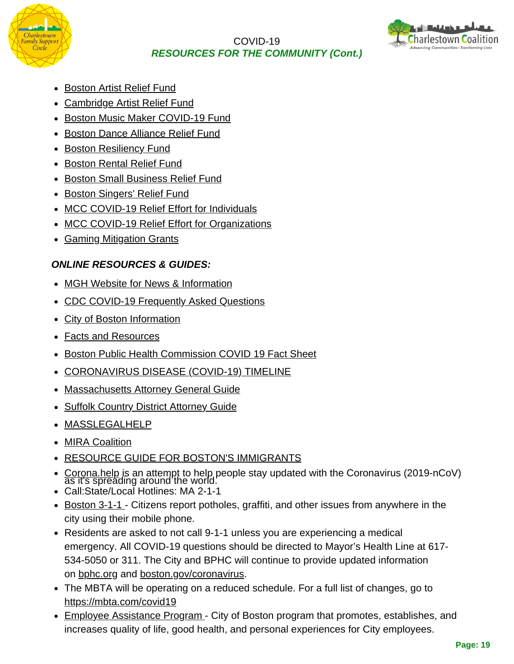



- [Boston Artist Relief Fund](http://track.upaknee.com/c/443/2ed469c207e25eeaabe02b7d39d41b4207fb5c2067b8d474b4b6f3be0f35e8289012a002ca135532)
- [Cambridge Artist Relief Fund](http://track.upaknee.com/c/443/2ed469c207e25eeaabe02b7d39d41b4207fb5c2067b8d474b4b6f3be0f35e8289f0c9baed33abfd6)
- [Boston Music Maker COVID-19 Fund](http://track.upaknee.com/c/443/2ed469c207e25eeaabe02b7d39d41b4207fb5c2067b8d474b4b6f3be0f35e8289b933f9d92732728)
- [Boston Dance Alliance Relief Fund](http://track.upaknee.com/c/443/2ed469c207e25eeaabe02b7d39d41b4207fb5c2067b8d474b4b6f3be0f35e828b59c183910b57c3a)
- [Boston Resiliency Fund](http://track.upaknee.com/c/443/2ed469c207e25eeaabe02b7d39d41b4207fb5c2067b8d474b4b6f3be0f35e828a3a380962ac20e9f)
- [Boston Rental Relief Fund](http://track.upaknee.com/c/443/2ed469c207e25eeaabe02b7d39d41b4207fb5c2067b8d4746e025c34497411bbb6cfa1d05167399e)
- [Boston Small Business Relief Fund](https://www.boston.gov/departments/economic-development/small-business-relief-fund?utm_source=Arts+and+the+City&utm_campaign=April+2020+Newsletter&utm_medium=email)
- [Boston Singers' Relief Fund](http://track.upaknee.com/c/443/2ed469c207e25eeaabe02b7d39d41b4207fb5c2067b8d47499eec78181f19d499012a002ca135532)
- [MCC COVID-19 Relief Effort for Individuals](http://track.upaknee.com/c/443/2ed469c207e25eeaabe02b7d39d41b4207fb5c2067b8d4747f82c423a9d16158b6cfa1d05167399e)
- [MCC COVID-19 Relief Effort for Organizations](http://track.upaknee.com/c/443/2ed469c207e25eeaabe02b7d39d41b4207fb5c2067b8d4747f82c423a9d161583d36765b5b371167)
- [Gaming Mitigation Grants](http://track.upaknee.com/c/443/2ed469c207e25eeaabe02b7d39d41b4207fb5c2067b8d474815a06cf64baec81d10b5795e9202321)

## *ONLINE RESOURCES & GUIDES:*

- [MGH Website for News & Information](https://www.massgeneral.org/news/coronavirus/coronavirus-latest-updates)
- [CDC COVID-19 Frequently Asked Questions](https://www.cdc.gov/coronavirus/2019-ncov/faq.html)
- [City of Boston Information](https://www.boston.gov/)
- [Facts and Resources](https://www.boston.gov/sites/default/files/file/2020/05/2003136%20covid19%20booklet%20proof%201.pdf)
- Boston Public Health Commission COVID 19 Fact Sheet
- [CORONAVIRUS DISEASE \(COVID-19\) TIMELINE](https://www.boston.gov/departments/public-health-commission/coronavirus-timeline)
- [Massachusetts Attorney General Guide](https://www.mass.gov/guides/resources-during-covid-19)
- [Suffolk Country District Attorney Guide](https://static1.squarespace.com/static/5c671e8e2727be4ad82ff1e9/t/5e80f7d5506cbf5eb01152de/1585510360749/SCDAO+COVID-19+FINAL.pdf)
- [MASSLEGALHELP](https://www.masslegalhelp.org/health-mental-health/covid-19)
- [MIRA Coalition](https://miracoalition.org/resources/covid19/)
- [RESOURCE GUIDE FOR BOSTON'S IMMIGRANTS](https://www.boston.gov/news/covid-19-resource-guide-bostons-immigrants?utm_source=The+Funding+Update&utm_campaign=April+10%2C+2020&utm_medium=email)
- [Corona.help](http://corona.help/) is an attempt to help people stay updated with the Coronavirus (2019-nCoV) as it's spreading around the world.
- Call:State/Local Hotlines: MA 2-1-1
- [Boston 3-1-1 -](https://311.boston.gov/) Citizens report potholes, graffiti, and other issues from anywhere in the city using their mobile phone.
- Residents are asked to not call 9-1-1 unless you are experiencing a medical emergency. All COVID-19 questions should be directed to Mayor's Health Line at 617- 534-5050 or 311. The City and BPHC will continue to provide updated information on [bphc.org](http://bphc.org/) and [boston.gov/coronavirus.](http://boston.gov/coronavirus)
- The MBTA will be operating on a reduced schedule. For a full list of changes, go to <https://mbta.com/covid19>
- [Employee Assistance Program](https://www.boston.gov/departments/human-resources/employee-assistance-program)  City of Boston program that promotes, establishes, and increases quality of life, good health, and personal experiences for City employees.